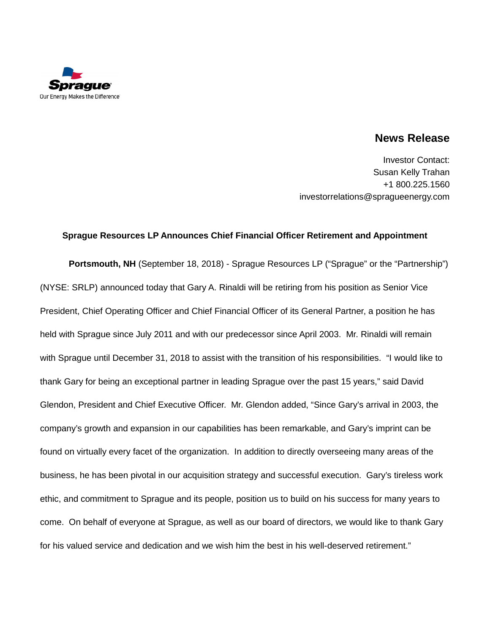

## **News Release**

Investor Contact: Susan Kelly Trahan +1 800.225.1560 investorrelations@spragueenergy.com

## **Sprague Resources LP Announces Chief Financial Officer Retirement and Appointment**

**Portsmouth, NH** (September 18, 2018) - Sprague Resources LP ("Sprague" or the "Partnership") (NYSE: SRLP) announced today that Gary A. Rinaldi will be retiring from his position as Senior Vice President, Chief Operating Officer and Chief Financial Officer of its General Partner, a position he has held with Sprague since July 2011 and with our predecessor since April 2003. Mr. Rinaldi will remain with Sprague until December 31, 2018 to assist with the transition of his responsibilities. "I would like to thank Gary for being an exceptional partner in leading Sprague over the past 15 years," said David Glendon, President and Chief Executive Officer. Mr. Glendon added, "Since Gary's arrival in 2003, the company's growth and expansion in our capabilities has been remarkable, and Gary's imprint can be found on virtually every facet of the organization. In addition to directly overseeing many areas of the business, he has been pivotal in our acquisition strategy and successful execution. Gary's tireless work ethic, and commitment to Sprague and its people, position us to build on his success for many years to come. On behalf of everyone at Sprague, as well as our board of directors, we would like to thank Gary for his valued service and dedication and we wish him the best in his well-deserved retirement."